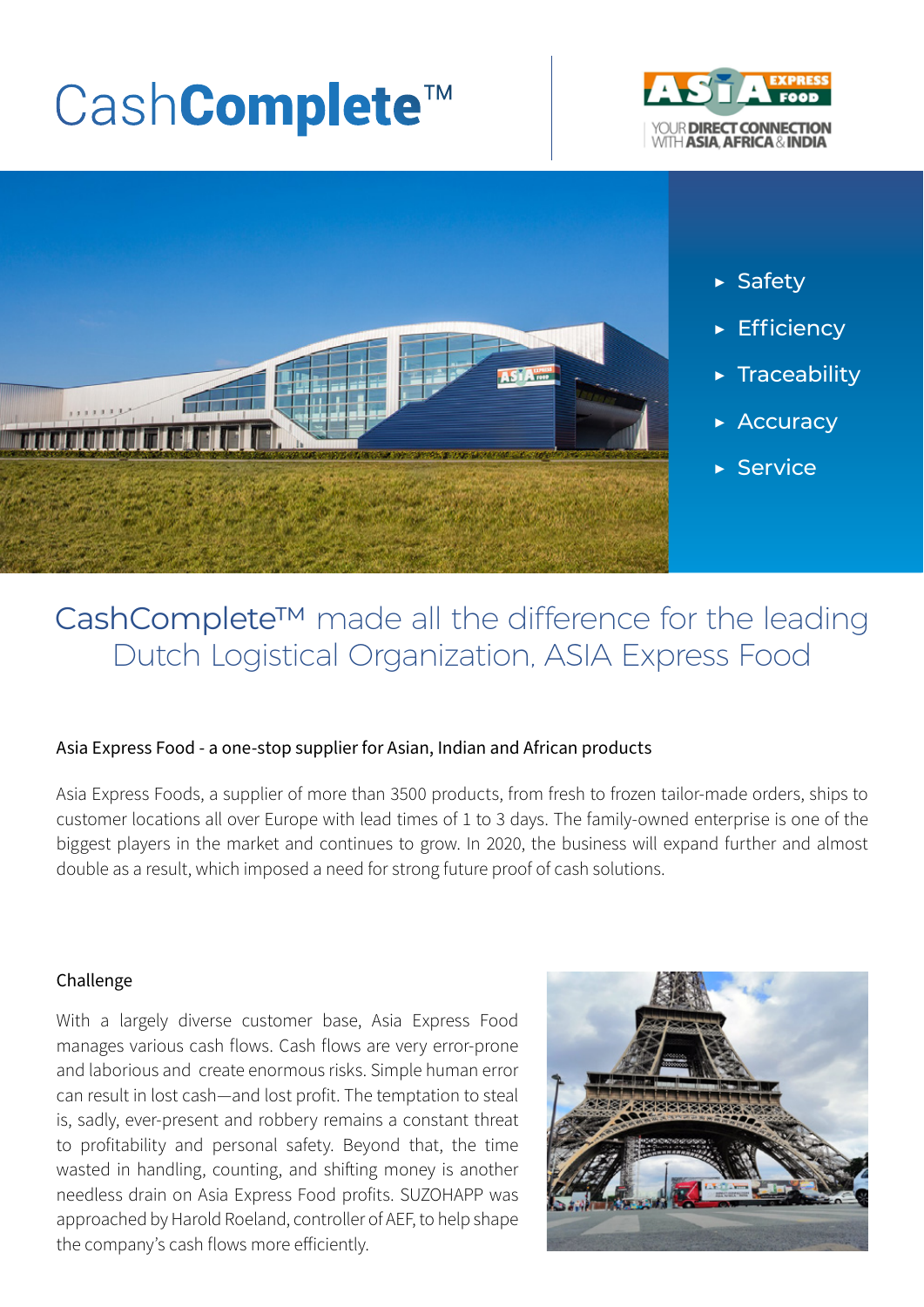# CashComplete™





- ▶ Safety
- ▶ Efficiency
- ▶ Traceability
- ▶ Accuracy
- ▶ Service

## CashComplete™ made all the difference for the leading Dutch Logistical Organization, ASIA Express Food

#### Asia Express Food - a one-stop supplier for Asian, Indian and African products

Asia Express Foods, a supplier of more than 3500 products, from fresh to frozen tailor-made orders, ships to customer locations all over Europe with lead times of 1 to 3 days. The family-owned enterprise is one of the biggest players in the market and continues to grow. In 2020, the business will expand further and almost double as a result, which imposed a need for strong future proof of cash solutions.

#### Challenge

With a largely diverse customer base, Asia Express Food manages various cash flows. Cash flows are very error-prone and laborious and create enormous risks. Simple human error can result in lost cash—and lost profit. The temptation to steal is, sadly, ever-present and robbery remains a constant threat to profitability and personal safety. Beyond that, the time wasted in handling, counting, and shifting money is another needless drain on Asia Express Food profits. SUZOHAPP was approached by Harold Roeland, controller of AEF, to help shape the company's cash flows more efficiently.